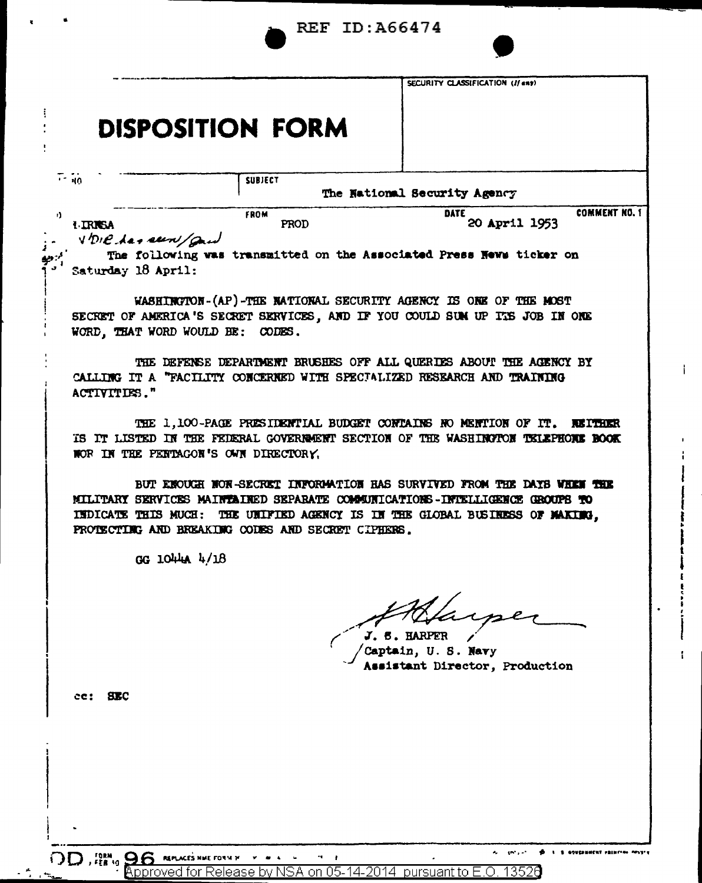|                                  |                                  |                                                                                                                                                                                                                                                                      | <b>REF ID: A66474</b>              |                                  |                      |
|----------------------------------|----------------------------------|----------------------------------------------------------------------------------------------------------------------------------------------------------------------------------------------------------------------------------------------------------------------|------------------------------------|----------------------------------|----------------------|
|                                  |                                  | <b>DISPOSITION FORM</b>                                                                                                                                                                                                                                              |                                    | SECURITY CLASSIFICATION (If ent) |                      |
| $\overline{1}$ - $\overline{40}$ |                                  | <b>SUBJECT</b>                                                                                                                                                                                                                                                       |                                    |                                  |                      |
|                                  |                                  |                                                                                                                                                                                                                                                                      | The National Security Agency       |                                  |                      |
| <b>I TRISA</b>                   | VDIC has seen and                | <b>FROM</b><br>PROD                                                                                                                                                                                                                                                  |                                    | <b>DATE</b><br>20 April 1953     | <b>COMMENT NO. 1</b> |
|                                  | Saturday 18 April:               | The following was transmitted on the Associated Press News ticker on                                                                                                                                                                                                 |                                    |                                  |                      |
|                                  | WORD, THAT WORD WOULD BE: CODES. | WASHINGTON-(AP)-THE NATIONAL SECURITY AGENCY IS ONE OF THE MOST<br>SECRET OF AMERICA'S SECRET SERVICES, AND IF YOU COULD SUM UP ITS JOB IN ONE                                                                                                                       |                                    |                                  |                      |
| ACTIVITIES."                     |                                  | THE DEFENSE DEPARTMENT BRUSHES OFF ALL QUERDES ABOUT THE AGENCY BY<br>CALLING IT A "FACILITY CONCERNED WITH SPECIALIZED RESEARCH AND TRAINING                                                                                                                        |                                    |                                  |                      |
|                                  |                                  | THE 1,100-PAGE PRESIDENTIAL BUDGET CONTAINS NO MENTION OF IT.<br>IS IT LISTED IN THE FEDERAL GOVERNMENT SECTION OF THE WASHINGTON TELEPHONE BOOK<br>NOR IN THE PENTAGON'S OWN DIRECTORY.                                                                             |                                    |                                  | <b>REITHER</b>       |
|                                  | <b>INDICATE THIS MUCH:</b>       | BUT ENOUGH NOR-SECRET INFORMATION HAS SURVIVED FROM THE DAYS WHEN THE<br>MILITARY SERVICES MAINTAINED SEPARATE COMMUNICATIONS-INTELLIGENCE GROUPS TO<br>THE UNIFIED AGENCY IS IN THE GLOBAL BUSINESS OF MAKING.<br>PROTECTING AND BREAKING CODES AND SECRET CIPHERS. |                                    |                                  |                      |
|                                  | GG 1044A 4/18                    |                                                                                                                                                                                                                                                                      |                                    |                                  |                      |
|                                  |                                  |                                                                                                                                                                                                                                                                      | $J. 5.$ HARP<br>Captain, U.S. Navy | sistant Director, Production     |                      |
| $cc:$ SEC                        |                                  |                                                                                                                                                                                                                                                                      |                                    |                                  |                      |
|                                  |                                  |                                                                                                                                                                                                                                                                      |                                    |                                  |                      |
|                                  |                                  |                                                                                                                                                                                                                                                                      |                                    |                                  |                      |
|                                  |                                  |                                                                                                                                                                                                                                                                      |                                    |                                  |                      |
|                                  |                                  |                                                                                                                                                                                                                                                                      |                                    |                                  |                      |
|                                  |                                  |                                                                                                                                                                                                                                                                      |                                    |                                  |                      |

 $\overline{a}$ 

 $\bullet$ L. S. GOVERNMENT FRINTING NESTER i.